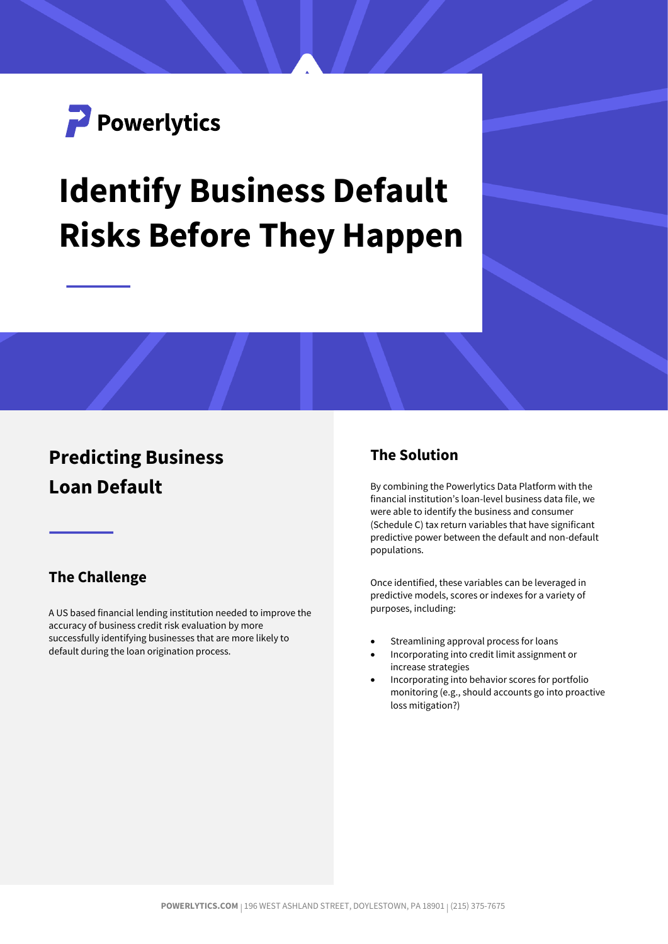

# **Identify Business Default Risks Before They Happen**

## **Predicting Business Loan Default**

#### **The Challenge**

A US based financial lending institution needed to improve the accuracy of business credit risk evaluation by more successfully identifying businesses that are more likely to default during the loan origination process.

#### **The Solution**

By combining the Powerlytics Data Platform with the financial institution's loan-level business data file, we were able to identify the business and consumer (Schedule C) tax return variables that have significant predictive power between the default and non-default populations.

Once identified, these variables can be leveraged in predictive models, scores or indexes for a variety of purposes, including:

- Streamlining approval process for loans
- Incorporating into credit limit assignment or increase strategies
- Incorporating into behavior scores for portfolio monitoring (e.g., should accounts go into proactive loss mitigation?)